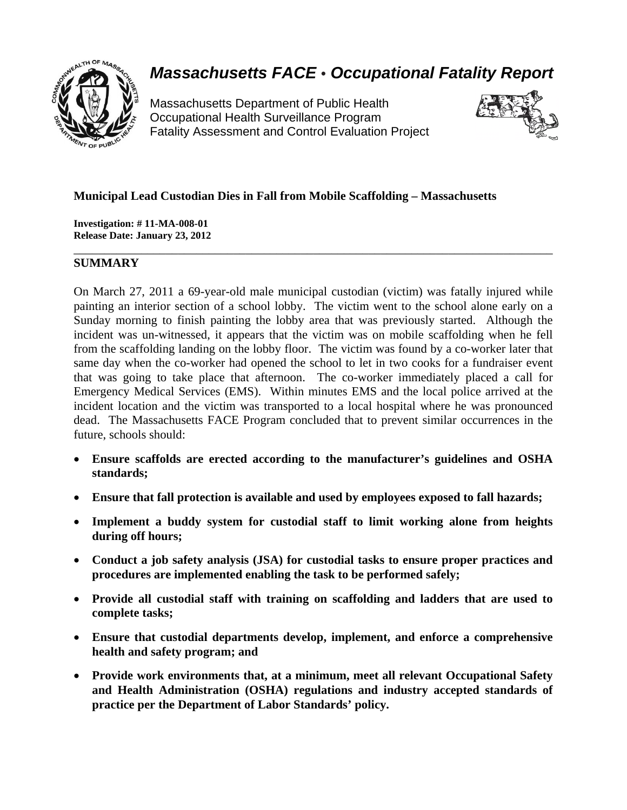

# *Massachusetts FACE* • *Occupational Fatality Report*

Massachusetts Department of Public Health Occupational Health Surveillance Program Fatality Assessment and Control Evaluation Project



# **Municipal Lead Custodian Dies in Fall from Mobile Scaffolding – Massachusetts**

**Investigation: # 11-MA-008-01 Release Date: January 23, 2012** 

# **SUMMARY**

On March 27, 2011 a 69-year-old male municipal custodian (victim) was fatally injured while painting an interior section of a school lobby. The victim went to the school alone early on a Sunday morning to finish painting the lobby area that was previously started. Although the incident was un-witnessed, it appears that the victim was on mobile scaffolding when he fell from the scaffolding landing on the lobby floor. The victim was found by a co-worker later that same day when the co-worker had opened the school to let in two cooks for a fundraiser event that was going to take place that afternoon. The co-worker immediately placed a call for Emergency Medical Services (EMS). Within minutes EMS and the local police arrived at the incident location and the victim was transported to a local hospital where he was pronounced dead. The Massachusetts FACE Program concluded that to prevent similar occurrences in the future, schools should:

\_\_\_\_\_\_\_\_\_\_\_\_\_\_\_\_\_\_\_\_\_\_\_\_\_\_\_\_\_\_\_\_\_\_\_\_\_\_\_\_\_\_\_\_\_\_\_\_\_\_\_\_\_\_\_\_\_\_\_\_\_\_\_\_\_\_\_\_\_\_\_\_\_\_\_\_\_\_

- **Ensure scaffolds are erected according to the manufacturer's guidelines and OSHA standards;**
- **Ensure that fall protection is available and used by employees exposed to fall hazards;**
- **Implement a buddy system for custodial staff to limit working alone from heights during off hours;**
- **Conduct a job safety analysis (JSA) for custodial tasks to ensure proper practices and procedures are implemented enabling the task to be performed safely;**
- **Provide all custodial staff with training on scaffolding and ladders that are used to complete tasks;**
- **Ensure that custodial departments develop, implement, and enforce a comprehensive health and safety program; and**
- **Provide work environments that, at a minimum, meet all relevant Occupational Safety and Health Administration (OSHA) regulations and industry accepted standards of practice per the Department of Labor Standards' policy.**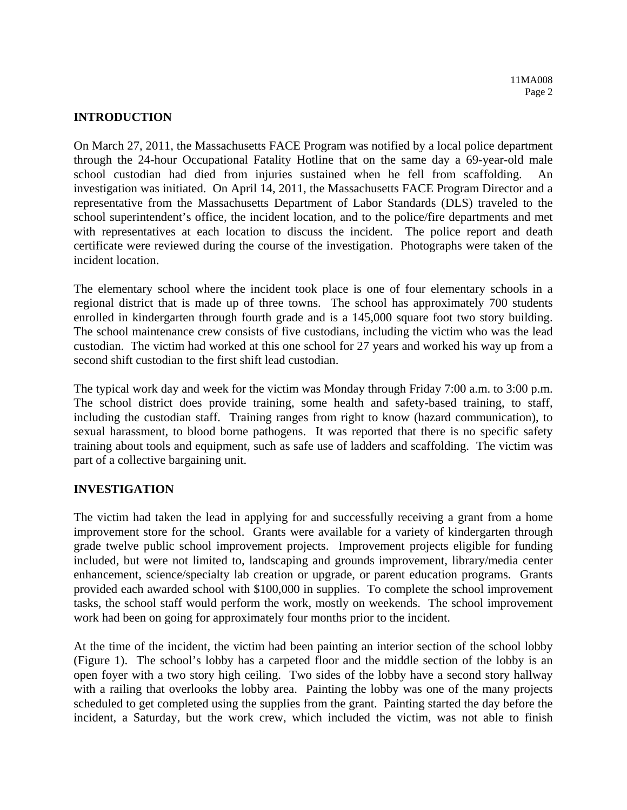## **INTRODUCTION**

On March 27, 2011, the Massachusetts FACE Program was notified by a local police department through the 24-hour Occupational Fatality Hotline that on the same day a 69-year-old male school custodian had died from injuries sustained when he fell from scaffolding. An investigation was initiated. On April 14, 2011, the Massachusetts FACE Program Director and a representative from the Massachusetts Department of Labor Standards (DLS) traveled to the school superintendent's office, the incident location, and to the police/fire departments and met with representatives at each location to discuss the incident. The police report and death certificate were reviewed during the course of the investigation. Photographs were taken of the incident location.

The elementary school where the incident took place is one of four elementary schools in a regional district that is made up of three towns. The school has approximately 700 students enrolled in kindergarten through fourth grade and is a 145,000 square foot two story building. The school maintenance crew consists of five custodians, including the victim who was the lead custodian. The victim had worked at this one school for 27 years and worked his way up from a second shift custodian to the first shift lead custodian.

The typical work day and week for the victim was Monday through Friday 7:00 a.m. to 3:00 p.m. The school district does provide training, some health and safety-based training, to staff, including the custodian staff. Training ranges from right to know (hazard communication), to sexual harassment, to blood borne pathogens. It was reported that there is no specific safety training about tools and equipment, such as safe use of ladders and scaffolding. The victim was part of a collective bargaining unit.

# **INVESTIGATION**

The victim had taken the lead in applying for and successfully receiving a grant from a home improvement store for the school. Grants were available for a variety of kindergarten through grade twelve public school improvement projects. Improvement projects eligible for funding included, but were not limited to, landscaping and grounds improvement, library/media center enhancement, science/specialty lab creation or upgrade, or parent education programs. Grants provided each awarded school with \$100,000 in supplies. To complete the school improvement tasks, the school staff would perform the work, mostly on weekends. The school improvement work had been on going for approximately four months prior to the incident.

At the time of the incident, the victim had been painting an interior section of the school lobby (Figure 1). The school's lobby has a carpeted floor and the middle section of the lobby is an open foyer with a two story high ceiling. Two sides of the lobby have a second story hallway with a railing that overlooks the lobby area. Painting the lobby was one of the many projects scheduled to get completed using the supplies from the grant. Painting started the day before the incident, a Saturday, but the work crew, which included the victim, was not able to finish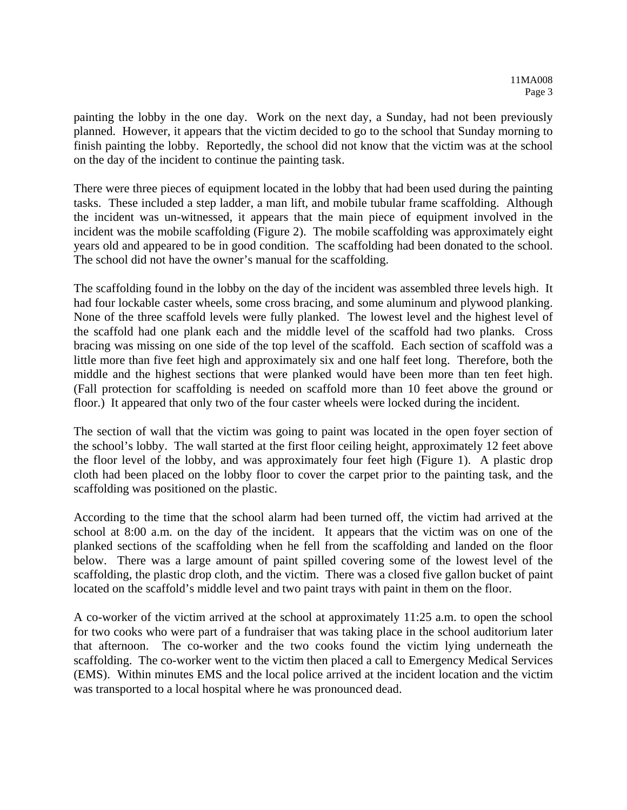painting the lobby in the one day. Work on the next day, a Sunday, had not been previously planned. However, it appears that the victim decided to go to the school that Sunday morning to finish painting the lobby. Reportedly, the school did not know that the victim was at the school on the day of the incident to continue the painting task.

There were three pieces of equipment located in the lobby that had been used during the painting tasks. These included a step ladder, a man lift, and mobile tubular frame scaffolding. Although the incident was un-witnessed, it appears that the main piece of equipment involved in the incident was the mobile scaffolding (Figure 2). The mobile scaffolding was approximately eight years old and appeared to be in good condition. The scaffolding had been donated to the school. The school did not have the owner's manual for the scaffolding.

The scaffolding found in the lobby on the day of the incident was assembled three levels high. It had four lockable caster wheels, some cross bracing, and some aluminum and plywood planking. None of the three scaffold levels were fully planked. The lowest level and the highest level of the scaffold had one plank each and the middle level of the scaffold had two planks. Cross bracing was missing on one side of the top level of the scaffold. Each section of scaffold was a little more than five feet high and approximately six and one half feet long. Therefore, both the middle and the highest sections that were planked would have been more than ten feet high. (Fall protection for scaffolding is needed on scaffold more than 10 feet above the ground or floor.) It appeared that only two of the four caster wheels were locked during the incident.

The section of wall that the victim was going to paint was located in the open foyer section of the school's lobby. The wall started at the first floor ceiling height, approximately 12 feet above the floor level of the lobby, and was approximately four feet high (Figure 1). A plastic drop cloth had been placed on the lobby floor to cover the carpet prior to the painting task, and the scaffolding was positioned on the plastic.

According to the time that the school alarm had been turned off, the victim had arrived at the school at 8:00 a.m. on the day of the incident. It appears that the victim was on one of the planked sections of the scaffolding when he fell from the scaffolding and landed on the floor below. There was a large amount of paint spilled covering some of the lowest level of the scaffolding, the plastic drop cloth, and the victim. There was a closed five gallon bucket of paint located on the scaffold's middle level and two paint trays with paint in them on the floor.

A co-worker of the victim arrived at the school at approximately 11:25 a.m. to open the school for two cooks who were part of a fundraiser that was taking place in the school auditorium later that afternoon. The co-worker and the two cooks found the victim lying underneath the scaffolding. The co-worker went to the victim then placed a call to Emergency Medical Services (EMS). Within minutes EMS and the local police arrived at the incident location and the victim was transported to a local hospital where he was pronounced dead.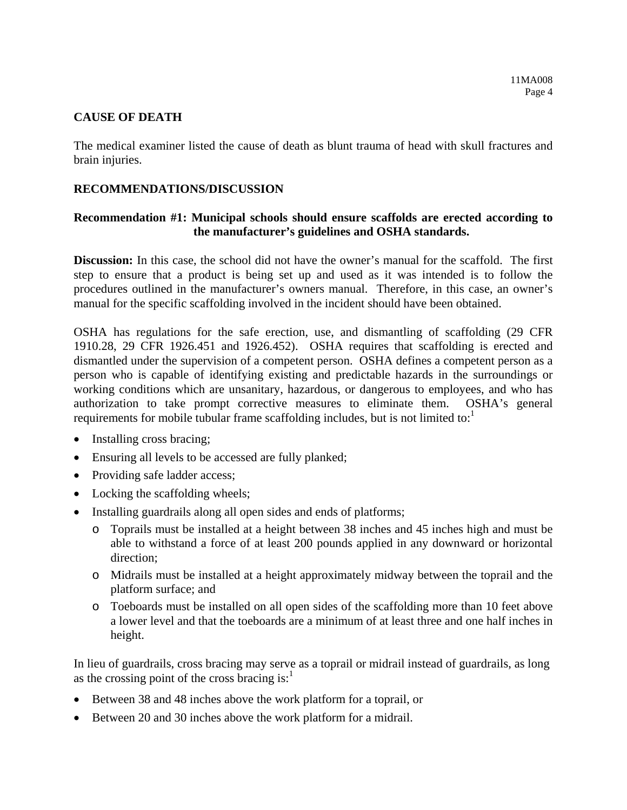#### **CAUSE OF DEATH**

The medical examiner listed the cause of death as blunt trauma of head with skull fractures and brain injuries.

# **RECOMMENDATIONS/DISCUSSION**

# **Recommendation #1: Municipal schools should ensure scaffolds are erected according to the manufacturer's guidelines and OSHA standards.**

**Discussion:** In this case, the school did not have the owner's manual for the scaffold. The first step to ensure that a product is being set up and used as it was intended is to follow the procedures outlined in the manufacturer's owners manual. Therefore, in this case, an owner's manual for the specific scaffolding involved in the incident should have been obtained.

OSHA has regulations for the safe erection, use, and dismantling of scaffolding (29 CFR 1910.28, 29 CFR 1926.451 and 1926.452). OSHA requires that scaffolding is erected and dismantled under the supervision of a competent person. OSHA defines a competent person as a person who is capable of identifying existing and predictable hazards in the surroundings or working conditions which are unsanitary, hazardous, or dangerous to employees, and who has authorization to take prompt corrective measures to eliminate them. OSHA's general requirements for mobile tubular frame scaffolding includes, but is not limited to: $<sup>1</sup>$ </sup>

- Installing cross bracing;
- Ensuring all levels to be accessed are fully planked;
- Providing safe ladder access;
- Locking the scaffolding wheels;
- Installing guardrails along all open sides and ends of platforms;
	- o Toprails must be installed at a height between 38 inches and 45 inches high and must be able to withstand a force of at least 200 pounds applied in any downward or horizontal direction;
	- o Midrails must be installed at a height approximately midway between the toprail and the platform surface; and
	- o Toeboards must be installed on all open sides of the scaffolding more than 10 feet above a lower level and that the toeboards are a minimum of at least three and one half inches in height.

In lieu of guardrails, cross bracing may serve as a toprail or midrail instead of guardrails, as long as the crossing point of the cross bracing is: $<sup>1</sup>$ </sup>

- Between 38 and 48 inches above the work platform for a toprail, or
- Between 20 and 30 inches above the work platform for a midrail.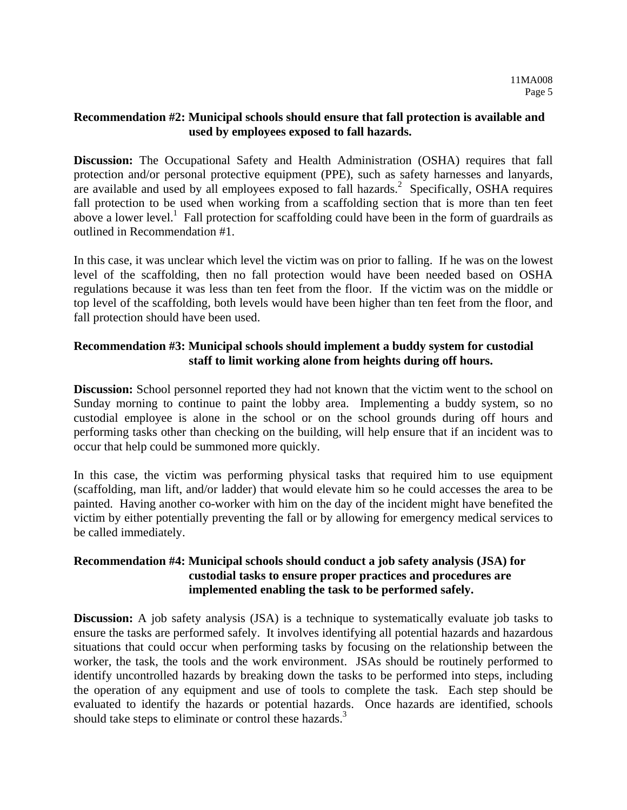#### **Recommendation #2: Municipal schools should ensure that fall protection is available and used by employees exposed to fall hazards.**

**Discussion:** The Occupational Safety and Health Administration (OSHA) requires that fall protection and/or personal protective equipment (PPE), such as safety harnesses and lanyards, are available and used by all employees exposed to fall hazards.<sup>2</sup> Specifically, OSHA requires fall protection to be used when working from a scaffolding section that is more than ten feet above a lower level.<sup>1</sup> Fall protection for scaffolding could have been in the form of guardrails as outlined in Recommendation #1.

In this case, it was unclear which level the victim was on prior to falling. If he was on the lowest level of the scaffolding, then no fall protection would have been needed based on OSHA regulations because it was less than ten feet from the floor. If the victim was on the middle or top level of the scaffolding, both levels would have been higher than ten feet from the floor, and fall protection should have been used.

# **Recommendation #3: Municipal schools should implement a buddy system for custodial staff to limit working alone from heights during off hours.**

**Discussion:** School personnel reported they had not known that the victim went to the school on Sunday morning to continue to paint the lobby area. Implementing a buddy system, so no custodial employee is alone in the school or on the school grounds during off hours and performing tasks other than checking on the building, will help ensure that if an incident was to occur that help could be summoned more quickly.

In this case, the victim was performing physical tasks that required him to use equipment (scaffolding, man lift, and/or ladder) that would elevate him so he could accesses the area to be painted. Having another co-worker with him on the day of the incident might have benefited the victim by either potentially preventing the fall or by allowing for emergency medical services to be called immediately.

# **Recommendation #4: Municipal schools should conduct a job safety analysis (JSA) for custodial tasks to ensure proper practices and procedures are implemented enabling the task to be performed safely.**

**Discussion:** A job safety analysis (JSA) is a technique to systematically evaluate job tasks to ensure the tasks are performed safely. It involves identifying all potential hazards and hazardous situations that could occur when performing tasks by focusing on the relationship between the worker, the task, the tools and the work environment. JSAs should be routinely performed to identify uncontrolled hazards by breaking down the tasks to be performed into steps, including the operation of any equipment and use of tools to complete the task. Each step should be evaluated to identify the hazards or potential hazards. Once hazards are identified, schools should take steps to eliminate or control these hazards.<sup>3</sup>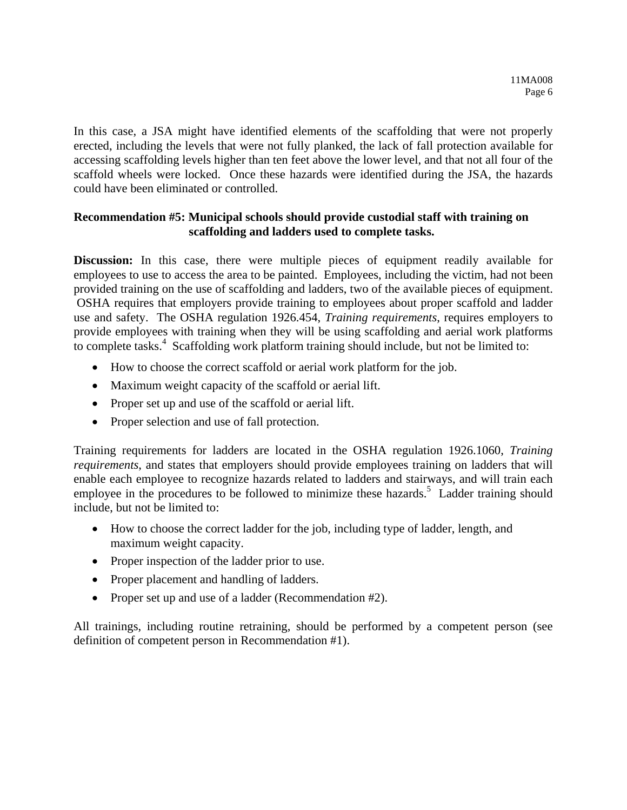In this case, a JSA might have identified elements of the scaffolding that were not properly erected, including the levels that were not fully planked, the lack of fall protection available for accessing scaffolding levels higher than ten feet above the lower level, and that not all four of the scaffold wheels were locked. Once these hazards were identified during the JSA, the hazards could have been eliminated or controlled.

## **Recommendation #5: Municipal schools should provide custodial staff with training on scaffolding and ladders used to complete tasks.**

**Discussion:** In this case, there were multiple pieces of equipment readily available for employees to use to access the area to be painted. Employees, including the victim, had not been provided training on the use of scaffolding and ladders, two of the available pieces of equipment. OSHA requires that employers provide training to employees about proper scaffold and ladder use and safety. The OSHA regulation 1926.454, *Training requirements*, requires employers to provide employees with training when they will be using scaffolding and aerial work platforms to complete tasks.<sup>4</sup> Scaffolding work platform training should include, but not be limited to:

- How to choose the correct scaffold or aerial work platform for the job.
- Maximum weight capacity of the scaffold or aerial lift.
- Proper set up and use of the scaffold or aerial lift.
- Proper selection and use of fall protection.

Training requirements for ladders are located in the OSHA regulation 1926.1060, *Training requirements*, and states that employers should provide employees training on ladders that will enable each employee to recognize hazards related to ladders and stairways, and will train each employee in the procedures to be followed to minimize these hazards.<sup>5</sup> Ladder training should include, but not be limited to:

- How to choose the correct ladder for the job, including type of ladder, length, and maximum weight capacity.
- Proper inspection of the ladder prior to use.
- Proper placement and handling of ladders.
- Proper set up and use of a ladder (Recommendation #2).

All trainings, including routine retraining, should be performed by a competent person (see definition of competent person in Recommendation #1).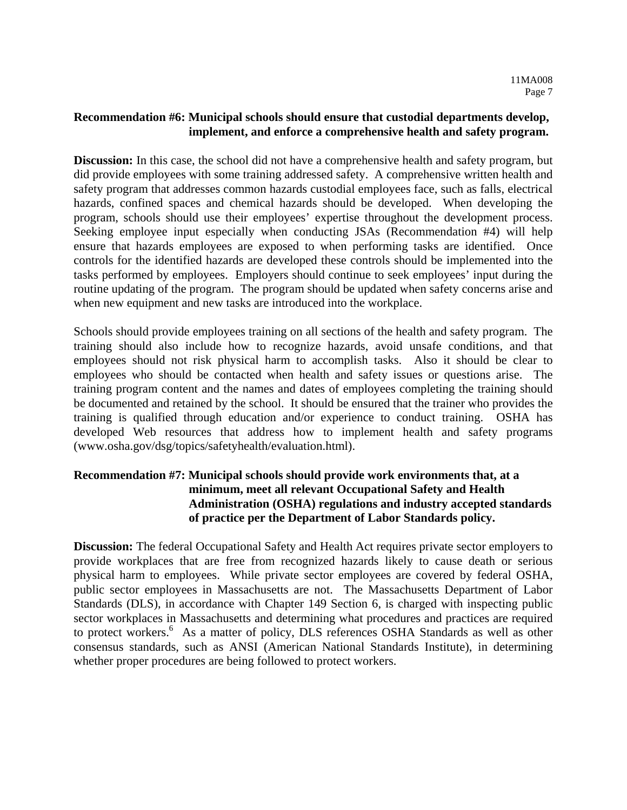# **Recommendation #6: Municipal schools should ensure that custodial departments develop, implement, and enforce a comprehensive health and safety program.**

**Discussion:** In this case, the school did not have a comprehensive health and safety program, but did provide employees with some training addressed safety. A comprehensive written health and safety program that addresses common hazards custodial employees face, such as falls, electrical hazards, confined spaces and chemical hazards should be developed. When developing the program, schools should use their employees' expertise throughout the development process. Seeking employee input especially when conducting JSAs (Recommendation #4) will help ensure that hazards employees are exposed to when performing tasks are identified. Once controls for the identified hazards are developed these controls should be implemented into the tasks performed by employees. Employers should continue to seek employees' input during the routine updating of the program. The program should be updated when safety concerns arise and when new equipment and new tasks are introduced into the workplace.

Schools should provide employees training on all sections of the health and safety program. The training should also include how to recognize hazards, avoid unsafe conditions, and that employees should not risk physical harm to accomplish tasks. Also it should be clear to employees who should be contacted when health and safety issues or questions arise. The training program content and the names and dates of employees completing the training should be documented and retained by the school. It should be ensured that the trainer who provides the training is qualified through education and/or experience to conduct training. OSHA has developed Web resources that address how to implement health and safety programs (www.osha.gov/dsg/topics/safetyhealth/evaluation.html).

# **Recommendation #7: Municipal schools should provide work environments that, at a minimum, meet all relevant Occupational Safety and Health Administration (OSHA) regulations and industry accepted standards of practice per the Department of Labor Standards policy.**

**Discussion:** The federal Occupational Safety and Health Act requires private sector employers to provide workplaces that are free from recognized hazards likely to cause death or serious physical harm to employees. While private sector employees are covered by federal OSHA, public sector employees in Massachusetts are not. The Massachusetts Department of Labor Standards (DLS), in accordance with Chapter 149 Section 6, is charged with inspecting public sector workplaces in Massachusetts and determining what procedures and practices are required to protect workers.<sup>6</sup> As a matter of policy, DLS references OSHA Standards as well as other consensus standards, such as ANSI (American National Standards Institute), in determining whether proper procedures are being followed to protect workers.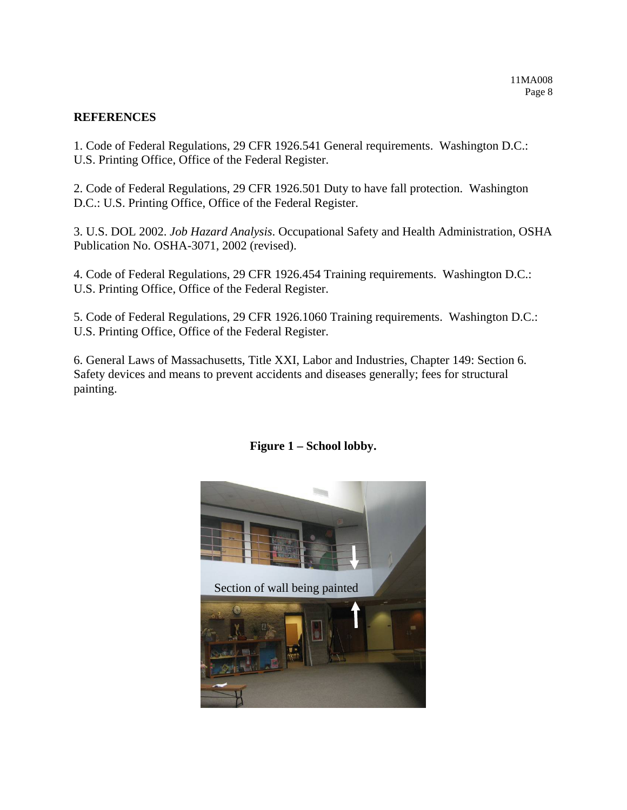#### **REFERENCES**

1. Code of Federal Regulations, 29 CFR 1926.541 General requirements. Washington D.C.: U.S. Printing Office, Office of the Federal Register.

2. Code of Federal Regulations, 29 CFR 1926.501 Duty to have fall protection. Washington D.C.: U.S. Printing Office, Office of the Federal Register.

3. U.S. DOL 2002. *Job Hazard Analysis*. Occupational Safety and Health Administration, OSHA Publication No. OSHA-3071, 2002 (revised).

4. Code of Federal Regulations, 29 CFR 1926.454 Training requirements. Washington D.C.: U.S. Printing Office, Office of the Federal Register.

5. Code of Federal Regulations, 29 CFR 1926.1060 Training requirements. Washington D.C.: U.S. Printing Office, Office of the Federal Register.

6. General Laws of Massachusetts, Title XXI, Labor and Industries, Chapter 149: Section 6. Safety devices and means to prevent accidents and diseases generally; fees for structural painting.



# **Figure 1 – School lobby.**